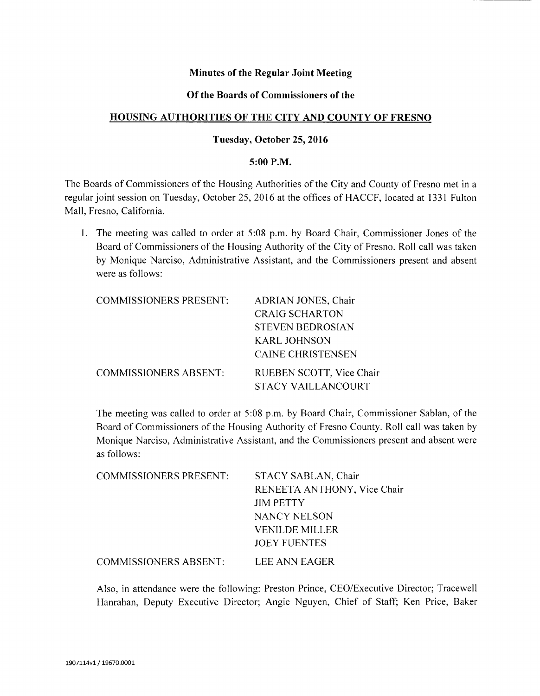## **Minutes of the Regular Joint Meeting**

#### **Of the Boards of Commissioners of the**

#### **HOUSING AUTHORITIES OF THE CITY AND COUNTY OF FRESNO**

#### **Tuesday, October 25,2016**

#### **5:00 P.M.**

The Boards of Commissioners of the Housing Authorities of the City and County of Fresno met in a regular joint session on Tuesday, October 25, 2016 at the offices of HACCF, located at 1331 Fulton Mall, Fresno, California.

1. The meeting was called to order at 5:08 p.m. by Board Chair, Commissioner Jones of the Board of Commissioners of the Housing Authority of the City of Fresno. Roll call was taken by Monique Narciso, Administrative Assistant, and the Commissioners present and absent were as follows:

| <b>COMMISSIONERS PRESENT:</b> | ADRIAN JONES, Chair       |
|-------------------------------|---------------------------|
|                               | <b>CRAIG SCHARTON</b>     |
|                               | <b>STEVEN BEDROSIAN</b>   |
|                               | <b>KARL JOHNSON</b>       |
|                               | <b>CAINE CHRISTENSEN</b>  |
| <b>COMMISSIONERS ABSENT:</b>  | RUEBEN SCOTT, Vice Chair  |
|                               | <b>STACY VAILLANCOURT</b> |

The meeting was called to order at 5:08 p.m. by Board Chair, Commissioner Sablan, of the Board of Commissioners of the Housing Authority of Fresno County. Roll call was taken by Monique Narciso, Administrative Assistant, and the Commissioners present and absent were as follows:

| <b>COMMISSIONERS PRESENT:</b> | STACY SABLAN, Chair         |
|-------------------------------|-----------------------------|
|                               | RENEETA ANTHONY, Vice Chair |
|                               | <b>JIM PETTY</b>            |
|                               | NANCY NELSON                |
|                               | <b>VENILDE MILLER</b>       |
|                               | <b>JOEY FUENTES</b>         |
| <b>COMMISSIONERS ABSENT:</b>  | LEE ANN EAGER               |

Also, in attendance were the following: Preston Prince, CEO/Executive Director; Tracewell Hanrahan, Deputy Executive Director; Angie Nguyen, Chief of Staff; Ken Price, Baker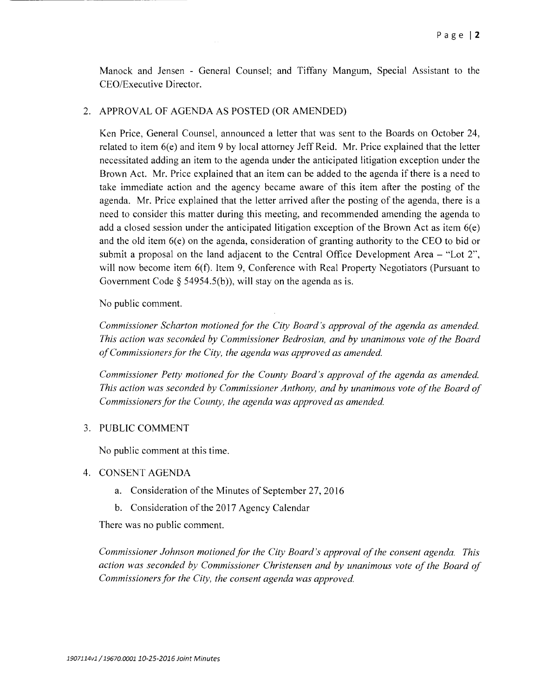Manock and Jensen - General Counsel; and Tiffany Mangum, Special Assistant to the CEO/Executive Director.

## 2. APPROVAL OF AGENDA AS POSTED (OR AMENDED)

Ken Price, General Counsel, announced a letter that was sent to the Boards on October 24, related to item 6(e) and item 9 by local attorney Jeff Reid. Mr. Price explained that the letter necessitated adding an item to the agenda under the anticipated litigation exception under the Brown Act. Mr. Price explained that an item can be added to the agenda if there is a need to take immediate action and the agency became aware of this item after the posting of the agenda. Mr. Price explained that the letter arrived after the posting of the agenda, there is a need to consider this matter during this meeting, and recommended amending the agenda to add a closed session under the anticipated litigation exception of the Brown Act as item  $6(e)$ and the old item  $6(e)$  on the agenda, consideration of granting authority to the CEO to bid or submit a proposal on the land adjacent to the Central Office Development Area  $-$  "Lot 2", will now become item 6(f). Item 9, Conference with Real Property Negotiators (Pursuant to Government Code  $\S$  54954.5(b)), will stay on the agenda as is.

No public comment.

*Commissioner Scharton motioned for the City Board's approval of the agenda as amended. This action was seconded by Commissioner Bedrosian, and by unanimous vote of the Board of Commissioners for the City, the agenda was approved as amended.* 

*Commissioner Petty motioned for the County Board's approval of the agenda as amended. This action was seconded by Commissioner Anthony, and by unanimous vote of the Board of Commissioners for the County, the agenda was approved as amended.* 

## 3. PUBLIC COMMENT

No public comment at this time.

#### 4. CONSENT AGENDA

- a. Consideration of the Minutes of September 27,2016
- b. Consideration of the 2017 Agency Calendar

There was no public comment.

*Commissioner Johnson motioned for the City Board's approval of the consent agenda. This action was seconded by Commissioner Christensen and by unanimous vote of the Board of Commissioners for the City, the consent agenda was approved.*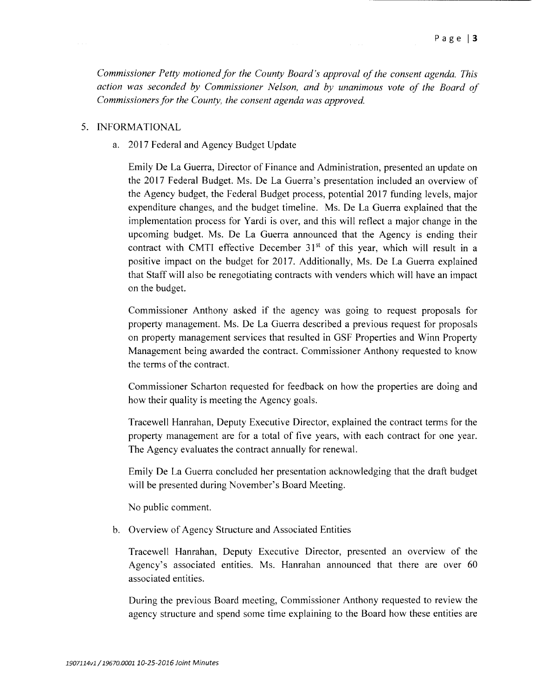*Commissioner Petty motioned for the County Board's approval of the consent agenda. This action was seconded by Commissioner Nelson, and by unanimous vote of the Board of Commissioners for the County, the consent agenda was approved.* 

#### 5. INFORMATIONAL

a. 2017 Federal and Agency Budget Update

Emily De La Guerra, Director of Finance and Administration, presented an update on the 2017 Federal Budget. Ms. De La Guerra's presentation included an overview of the Agency budget, the Federal Budget process, potential 2017 funding levels, major expenditure changes, and the budget timeline. Ms. De La Guerra explained that the implementation process for Yardi is over, and this will reflect a major change in the upcoming budget. Ms. De La Guerra announced that the Agency is ending their contract with CMTI effective December  $31<sup>st</sup>$  of this year, which will result in a positive impact on the budget for 2017. Additionally, Ms. De La Guerra explained that Staff will also be renegotiating contracts with venders which will have an impact on the budget.

Commissioner Anthony asked if the agency was gomg to request proposals for property management. Ms. De La Guerra described a previous request for proposals on property management services that resulted in GSF Properties and Winn Property Management being awarded the contract. Commissioner Anthony requested to know the terms of the contract.

Commissioner Scharton requested for feedback on how the properties are doing and how their quality is meeting the Agency goals.

Tracewell Hanrahan, Deputy Executive Director, explained the contract terms for the property management are for a total of five years, with each contract for one year. The Agency evaluates the contract annually for renewal.

Emily De La Guerra concluded her presentation acknowledging that the draft budget will be presented during November's Board Meeting.

No public comment.

b. Overview of Agency Structure and Associated Entities

Tracewell Hanrahan, Deputy Executive Director, presented an overview of the Agency's associated entities. Ms. Hanrahan announced that there are over 60 associated entities.

During the previous Board meeting, Commissioner Anthony requested to review the agency structure and spend some time explaining to the Board how these entities are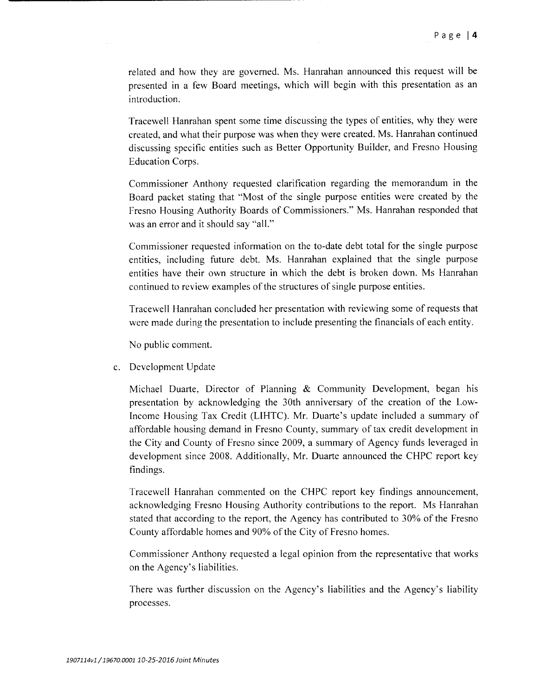related and how they are governed. Ms. Hanrahan announced this request will be presented in a few Board meetings, which will begin with this presentation as an introduction.

Tracewell Hanrahan spent some time discussing the types of entities, why they were created, and what their purpose was when they were created. Ms. Hanrahan continued discussing specific entities such as Better Opportunity Builder, and Fresno Housing Education Corps.

Commissioner Anthony requested clarification regarding the memorandum in the Board packet stating that "Most of the single purpose entities were created by the Fresno Housing Authority Boards of Commissioners." Ms. Hanrahan responded that was an error and it should say "all."

Commissioner requested information on the to-date debt total for the single purpose entities, including future debt. Ms. Hanrahan explained that the single purpose entities have their own structure in which the debt is broken down. Ms Hanrahan continued to review examples of the structures of single purpose entities.

Tracewell Hanrahan concluded her presentation with reviewing some of requests that were made during the presentation to include presenting the financials of each entity.

No public comment.

c. Development Update

Michael Duarte, Director of Planning & Community Development, began his presentation by acknowledging the 30th anniversary of the creation of the Low-Income Housing Tax Credit (UHTC). Mr. Duarte's update included a summary of affordable housing demand in Fresno County, summary of tax credit development in the City and County of Fresno since 2009, a summary of Agency funds leveraged in development since 2008. Additionally, Mr. Duarte announced the CHPC report key findings.

Tracewell Hanrahan commented on the CHPC report key findings announcement, acknowledging Fresno Housing Authority contributions to the report. Ms Hanrahan stated that according to the report, the Agency has contributed to 30% of the Fresno County affordable homes and 90% of the City of Fresno homes.

Commissioner Anthony requested a legal opinion from the representative that works on the Agency's liabilities.

There was further discussion on the Agency's liabilities and the Agency's liability processes.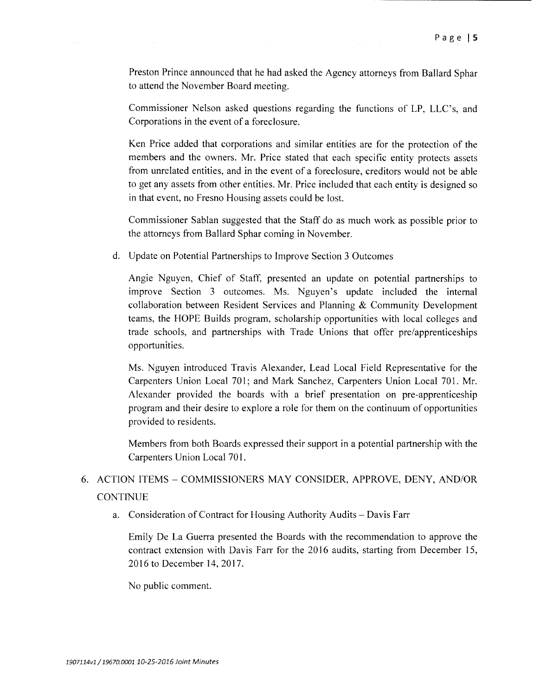Preston Prince announced that he had asked the Agency attorneys from Ballard Sphar to attend the November Board meeting.

Commissioner Nelson asked questions regarding the functions of LP, LLC's, and Corporations in the event of a foreclosure.

Ken Price added that corporations and similar entities are for the protection of the members and the owners. Mr. Price stated that each specific entity protects assets from unrelated entities, and in the event of a foreclosure, creditors would not be able to get any assets from other entities. Mr. Price included that each entity is designed so in that event, no Fresno Housing assets could be lost.

Commissioner Sablan suggested that the Staff do as much work as possible prior to the attorneys from Ballard Sphar coming in November.

d. Update on Potential Partnerships to Improve Section 3 Outcomes

Angie Nguyen, Chief of Staff, presented an update on potential partnerships to improve Section 3 outcomes. Ms. Nguyen's update included the internal collaboration between Resident Services and Planning & Community Development teams, the HOPE Builds program, scholarship opportunities with local colleges and trade schools, and partnerships with Trade Unions that offer pre/apprenticeships opportunities.

Ms. Nguyen introduced Travis Alexander, Lead Local Field Representative for the Carpenters Union Local 701; and Mark Sanchez, Carpenters Union Local 701. Mr. Alexander provided the boards with a brief presentation on pre-apprenticeship program and their desire to explore a role for them on the continuum of opportunities provided to residents.

Members from both Boards expressed their support in a potential partnership with the Carpenters Union Local 701.

# 6. ACTION ITEMS - COMMISSIONERS MAY CONSIDER, APPROVE, DENY, AND/OR CONTINUE

a. Consideration of Contract for Housing Authority Audits – Davis Farr

Emily De La Guerra presented the Boards with the recommendation to approve the contract extension with Davis Farr for the 2016 audits, starting from December 15, 2016 to December 14,2017.

No public comment.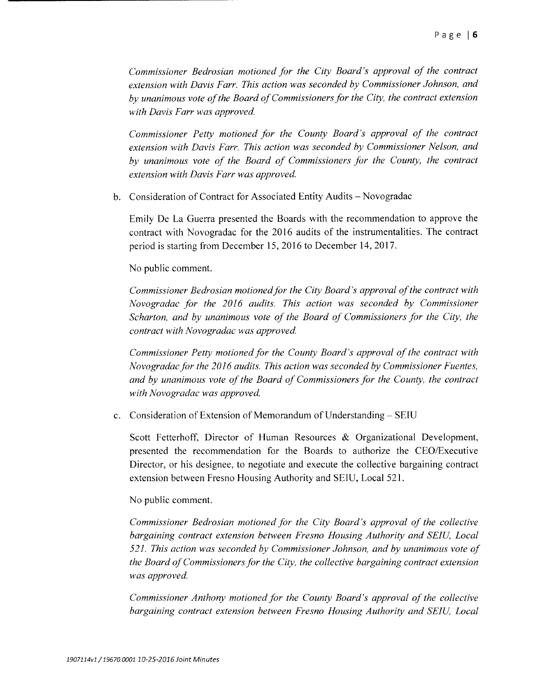*Commissioner Bedrosian motioned for the City Board's approval of the contract extension with Davis Farr. This action was seconded by Commissioner Johnson, and by unanimous vote of the Board of Commissioners for the City, the contract extension with Davis Farr was approved.* 

*Commissioner Petty motioned for the County Board's approval of the contract extension with Davis Farr. This action was seconded by Commissioner Nelson, and by unanimous vote of the Board of Commissioners for the County, the contract extension with Davis Farr was approved.* 

b. Consideration of Contract for Associated Entity Audits - Novogradac

Emily De La Guerra presented the Boards with the recommendation to approve the contract with Novogradac for the 2016 audits of the instrumentalities. The contract period is starting from December 15,2016 to December 14,2017.

No public comment.

*Commissioner Bedrosian motioned for the City Board's approval of the contract with Novogradac for the 2016 audits. This action was seconded by Commissioner Scharton, and by unanimous vote of the Board of Commissioners for the City, the contract with Novogradac was approved.* 

*Commissioner Petty motioned for the County Board's approval of the contract with Novogradac for the 2016 audits. This action was seconded by Commissioner Fuentes, and by unanimous vote of the Board of Commissioners for the County, the contract with Novogradac was approved.* 

c. Consideration of Extension of Memorandum of Understanding – SEIU

Scott Fetterhoff, Director of Human Resources & Organizational Development, presented the recommendation for the Boards to authorize the CEO/Executive Director, or his designee, to negotiate and execute the collective bargaining contract extension between Fresno Housing Authority and SEIU, Local 521.

No public comment.

*Commissioner Bedrosian motioned for the City Board's approval of the collective bargaining contract extension between Fresno Housing Authority and SEIU, Local 521. This action was seconded by Commissioner Johnson, and by unanimous vote of the Board of Commissioners for the City, the collective bargaining contract extension was approved.* 

*Commissioner Anthony motioned for the County Board's approval of the collective bargaining contract extension between Fresno Housing Authority and SEIU, Local*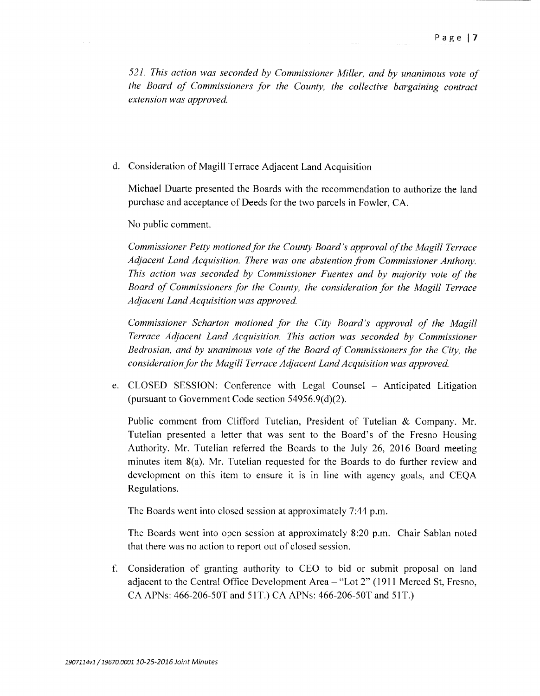*521. This action was seconded by Commissioner Miller, and by unanimous vote of the Board of Commissioners for the County, the collective bargaining contract extension was approved.* 

d. Consideration of Magill Terrace Adjacent Land Acquisition

Michael Duarte presented the Boards with the recommendation to authorize the land purchase and acceptance of Deeds for the two parcels in Fowler, CA.

No public comment.

*Commissioner Petty motioned for the County Board's approval of the Magill Terrace Adjacent Land Acquisition. There was one abstention from Commissioner Anthony. This action was seconded by Commissioner Fuentes and by majority vote of the Board of Commissioners for the County, the consideration for the Magill Terrace Adjacent Land Acquisition was approved.* 

*Commissioner Scharton motioned for the City Board's approval of the Magill Terrace Adjacent Land Acquisition. This action was seconded by Commissioner Bedrosian, and by unanimous vote of the Board of Commissioners for the City, the consideration for the Magill Terrace Adjacent Land Acquisition was approved.* 

e. CLOSED SESSION: Conference with Legal Counsel - Anticipated Litigation (pursuant to Government Code section 54956.9(d)(2).

Public comment from Clifford Tutelian, President of Tutelian & Company. Mr. Tutelian presented a letter that was sent to the Board's of the Fresno Housing Authority. Mr. Tutelian referred the Boards to the July 26, 2016 Board meeting minutes item  $8(a)$ . Mr. Tutelian requested for the Boards to do further review and development on this item to ensure it is in line with agency goals, and CEQA Regulations.

The Boards went into closed session at approximately 7:44 p.m.

The Boards went into open session at approximately 8:20 p.m. Chair Sablan noted that there was no action to report out of closed session.

f. Consideration of granting authority to CEO to bid or submit proposal on land adjacent to the Central Office Development Area - "Lot 2" (1911 Merced St, Fresno, CA APNs: 466-206-50T and 51T.) CA APNs: 466-206-50T and 51T.)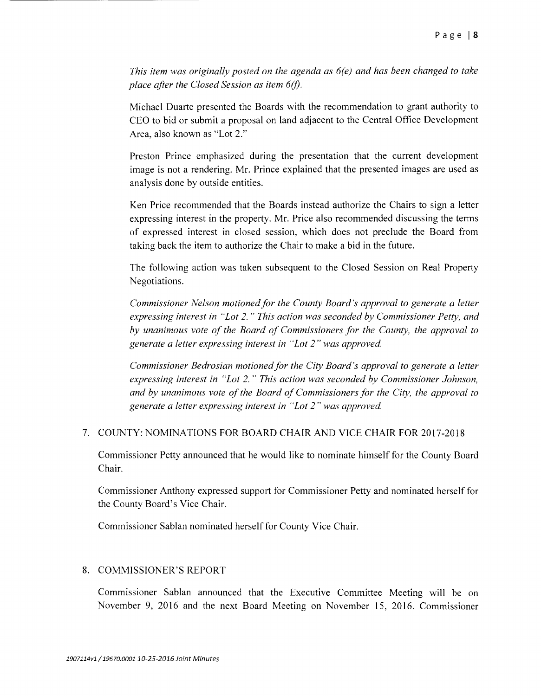*This item was originally posted on the agenda as 6(e) and has been changed to take place after the Closed Session as item 6(f).* 

Michael Duarte presented the Boards with the recommendation to grant authority to CEO to bid or submit a proposal on land adjacent to the Central Office Development Area, also known as "Lot 2."

Preston Prince emphasized during the presentation that the current development image is not a rendering. Mr. Prince explained that the presented images are used as analysis done by outside entities.

Ken Price recommended that the Boards instead authorize the Chairs to sign a letter expressing interest in the property. Mr. Price also recommended discussing the terms of expressed interest in closed session, which does not preclude the Board from taking back the item to authorize the Chair to make a bid in the future.

The following action was taken subsequent to the Closed Session on Real Property Negotiations.

*Commissioner Nelson motioned for the County Board's approval to generate a letter expressing interest in "Lot* 2. " *This action was seconded by Commissioner Petty, and by unanimous vote of the Board of Commissioners for the County, the approval to generate a letter expressing interest in "Lot* 2" *was approved.* 

*Commissioner Bedrosian motioned for the City Board's approval to generate a letter expressing interest in "Lot* 2. " *This action was seconded by Commissioner Johnson, and by unanimous vote of the Board of Commissioners for the City, the approval to generate a letter expressing interest in "Lot* 2" *was approved.* 

## 7. COUNTY: NOMINATIONS FOR BOARD CHAIR AND VICE CHAIR FOR 2017-2018

Commissioner Petty announced that he would like to nominate himself for the County Board Chair.

Commissioner Anthony expressed support for Commissioner Petty and nominated herself for the County Board's Vice Chair.

Commissioner Sablan nominated herself for County Vice Chair.

## 8. COMMISSIONER'S REPORT

Commissioner Sablan announced that the Executive Committee Meeting will be on November 9, 2016 and the next Board Meeting on November 15, 2016. Commissioner